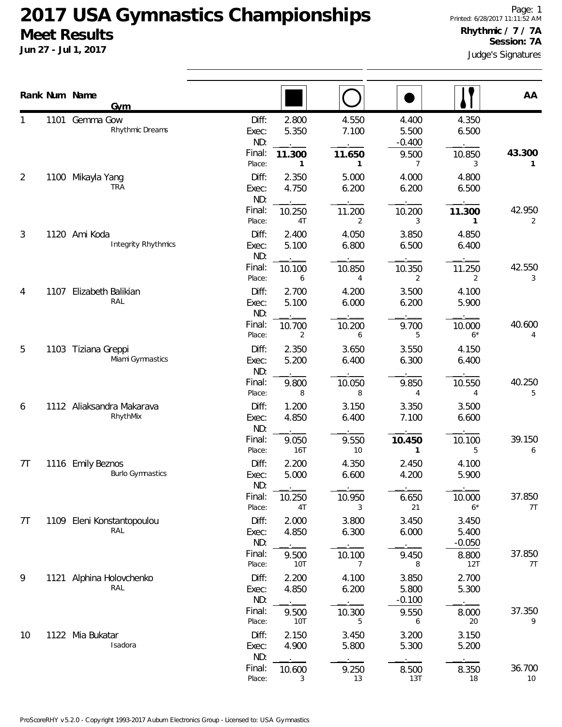|                | Rank Num Name | Gym                                          |                                 |                          |                          |                                     |                            | AA           |
|----------------|---------------|----------------------------------------------|---------------------------------|--------------------------|--------------------------|-------------------------------------|----------------------------|--------------|
| 1              |               | 1101 Gemma Gow<br>Rhythmic Dreams            | Diff:<br>Exec:<br>ND:<br>Final: | 2.800<br>5.350<br>11.300 | 4.550<br>7.100<br>11.650 | 4.400<br>5.500<br>$-0.400$<br>9.500 | 4.350<br>6.500<br>10.850   | 43.300       |
| $\overline{2}$ | 1100          | Mikayla Yang<br><b>TRA</b>                   | Place:<br>Diff:<br>Exec:<br>ND: | 1<br>2.350<br>4.750      | 1<br>5.000<br>6.200      | 7<br>4.000<br>6.200                 | 3<br>4.800<br>6.500        | 1.           |
|                |               |                                              | Final:<br>Place:                | 10.250<br>4T             | 11.200<br>2              | 10.200<br>3                         | 11.300<br>1                | 42.950<br>2  |
| 3              |               | 1120 Ami Koda<br>Integrity Rhythmics         | Diff:<br>Exec:<br>ND:           | 2.400<br>5.100           | 4.050<br>6.800           | 3.850<br>6.500                      | 4.850<br>6.400             |              |
|                |               |                                              | Final:<br>Place:                | 10.100<br>6              | 10.850<br>4              | 10.350<br>2                         | 11.250<br>2                | 42.550<br>3  |
| 4              | 1107          | Elizabeth Balikian<br>RAL                    | Diff:<br>Exec:<br>ND:           | 2.700<br>5.100           | 4.200<br>6.000           | 3.500<br>6.200                      | 4.100<br>5.900             |              |
|                |               |                                              | Final:<br>Place:                | 10.700<br>2              | 10.200<br>6              | 9.700<br>5                          | 10.000<br>$6*$             | 40.600<br>4  |
| 5              |               | 1103 Tiziana Greppi<br>Miami Gymnastics      | Diff:<br>Exec:<br>ND:           | 2.350<br>5.200           | 3.650<br>6.400           | 3.550<br>6.300                      | 4.150<br>6.400             |              |
|                |               | Final:<br>Place:                             | 9.800<br>8                      | 10.050<br>8              | 9.850<br>$\overline{4}$  | 10.550<br>$\overline{4}$            | 40.250<br>5                |              |
| 6              |               | 1112 Aliaksandra Makarava<br>RhythMix        | Diff:<br>Exec:<br>ND:           | 1.200<br>4.850           | 3.150<br>6.400           | 3.350<br>7.100                      | 3.500<br>6.600             |              |
|                |               |                                              | Final:<br>Place:                | 9.050<br><b>16T</b>      | 9.550<br>10              | 10.450<br>1                         | 10.100<br>5                | 39.150<br>6  |
| 7T             |               | 1116 Emily Beznos<br><b>Burlo Gymnastics</b> | Diff:<br>Exec:<br>ND:           | 2.200<br>5.000           | 4.350<br>6.600           | 2.450<br>4.200                      | 4.100<br>5.900             |              |
|                |               |                                              | Final:<br>Place:                | 10.250<br>4T             | 10.950<br>3              | 6.650<br>21                         | 10.000<br>$6*$             | 37.850<br>7T |
| 7T             |               | 1109 Eleni Konstantopoulou<br>RAL            | Diff:<br>Exec:<br>ND:           | 2.000<br>4.850           | 3.800<br>6.300           | 3.450<br>6.000                      | 3.450<br>5.400<br>$-0.050$ |              |
|                |               |                                              | Final:<br>Place:                | 9.500<br>10T             | 10.100<br>7              | 9.450<br>8                          | 8.800<br>12T               | 37.850<br>7T |
| 9              |               | 1121 Alphina Holovchenko<br>RAL              | Diff:<br>Exec:<br>ND:           | 2.200<br>4.850           | 4.100<br>6.200           | 3.850<br>5.800<br>$-0.100$          | 2.700<br>5.300             |              |
|                |               |                                              | Final:<br>Place:                | 9.500<br>10T             | 10.300<br>5              | 9.550<br>6                          | 8.000<br>20                | 37.350<br>9  |
| 10             |               | 1122 Mia Bukatar<br>Isadora                  | Diff:<br>Exec:<br>ND:           | 2.150<br>4.900           | 3.450<br>5.800           | 3.200<br>5.300                      | 3.150<br>5.200             |              |
|                |               |                                              | Final:<br>Place:                | 10.600<br>3              | 9.250<br>13              | 8.500<br>13T                        | 8.350<br>18                | 36.700<br>10 |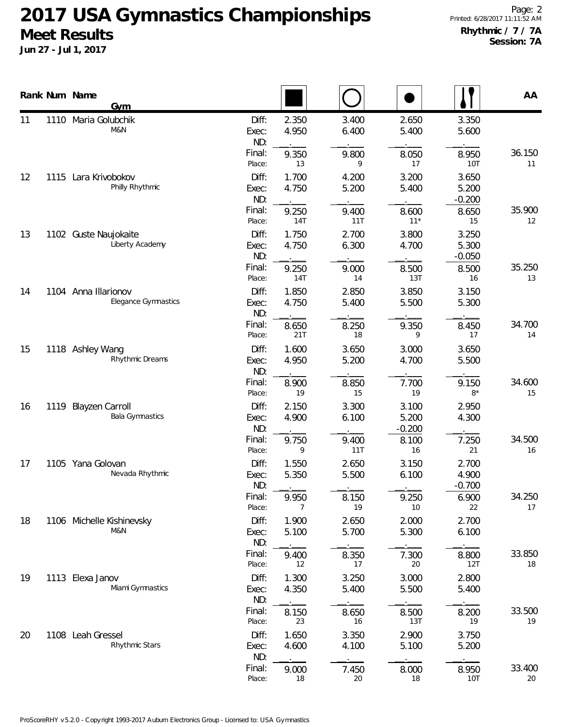|    |      | Rank Num Name<br><b>Gym</b>                      |                       |                |                |                            |                            | AA           |
|----|------|--------------------------------------------------|-----------------------|----------------|----------------|----------------------------|----------------------------|--------------|
| 11 |      | 1110 Maria Golubchik<br>M&N                      | Diff:<br>Exec:<br>ND: | 2.350<br>4.950 | 3.400<br>6.400 | 2.650<br>5.400             | 3.350<br>5.600             |              |
|    |      |                                                  | Final:<br>Place:      | 9.350<br>13    | 9.800<br>9     | 8.050<br>17                | 8.950<br>10T               | 36.150<br>11 |
| 12 | 1115 | Lara Krivobokov<br>Philly Rhythmic               | Diff:<br>Exec:<br>ND: | 1.700<br>4.750 | 4.200<br>5.200 | 3.200<br>5.400             | 3.650<br>5.200<br>$-0.200$ |              |
|    |      |                                                  | Final:<br>Place:      | 9.250<br>14T   | 9.400<br>11T   | 8.600<br>$11*$             | 8.650<br>15                | 35.900<br>12 |
| 13 |      | 1102 Guste Naujokaite<br>Liberty Academy         | Diff:<br>Exec:<br>ND: | 1.750<br>4.750 | 2.700<br>6.300 | 3.800<br>4.700             | 3.250<br>5.300<br>$-0.050$ |              |
|    |      |                                                  | Final:<br>Place:      | 9.250<br>14T   | 9.000<br>14    | 8.500<br>13T               | 8.500<br>16                | 35.250<br>13 |
| 14 |      | 1104 Anna Illarionov<br>Elegance Gymnastics      | Diff:<br>Exec:<br>ND: | 1.850<br>4.750 | 2.850<br>5.400 | 3.850<br>5.500             | 3.150<br>5.300             |              |
|    |      |                                                  | Final:<br>Place:      | 8.650<br>21T   | 8.250<br>18    | 9.350<br>9                 | 8.450<br>17                | 34.700<br>14 |
| 15 |      | 1118 Ashley Wang<br>Rhythmic Dreams              | Diff:<br>Exec:<br>ND: | 1.600<br>4.950 | 3.650<br>5.200 | 3.000<br>4.700             | 3.650<br>5.500             |              |
|    |      |                                                  | Final:<br>Place:      | 8.900<br>19    | 8.850<br>15    | 7.700<br>19                | 9.150<br>$8*$              | 34.600<br>15 |
| 16 | 1119 | <b>Blayzen Carroll</b><br><b>Bala Gymnastics</b> | Diff:<br>Exec:<br>ND: | 2.150<br>4.900 | 3.300<br>6.100 | 3.100<br>5.200<br>$-0.200$ | 2.950<br>4.300             |              |
|    |      |                                                  | Final:<br>Place:      | 9.750<br>9     | 9.400<br>11T   | 8.100<br>16                | 7.250<br>21                | 34.500<br>16 |
| 17 |      | 1105 Yana Golovan<br>Nevada Rhythmic             | Diff:<br>Exec:<br>ND: | 1.550<br>5.350 | 2.650<br>5.500 | 3.150<br>6.100             | 2.700<br>4.900<br>$-0.700$ |              |
|    |      |                                                  | Final:<br>Place:      | 9.950<br>7     | 8.150<br>19    | 9.250<br>10                | 6.900<br>22                | 34.250<br>17 |
| 18 |      | 1106 Michelle Kishinevsky<br>M&N                 | Diff:<br>Exec:<br>ND: | 1.900<br>5.100 | 2.650<br>5.700 | 2.000<br>5.300             | 2.700<br>6.100             |              |
|    |      |                                                  | Final:<br>Place:      | 9.400<br>12    | 8.350<br>17    | 7.300<br>20                | 8.800<br>12T               | 33.850<br>18 |
| 19 |      | 1113 Elexa Janov<br>Miami Gymnastics             | Diff:<br>Exec:<br>ND: | 1.300<br>4.350 | 3.250<br>5.400 | 3.000<br>5.500             | 2.800<br>5.400             |              |
|    |      |                                                  | Final:<br>Place:      | 8.150<br>23    | 8.650<br>16    | 8.500<br>13T               | 8.200<br>19                | 33.500<br>19 |
| 20 |      | 1108 Leah Gressel<br>Rhythmic Stars              | Diff:<br>Exec:<br>ND: | 1.650<br>4.600 | 3.350<br>4.100 | 2.900<br>5.100             | 3.750<br>5.200             |              |
|    |      |                                                  | Final:<br>Place:      | 9.000<br>18    | 7.450<br>20    | 8.000<br>18                | 8.950<br>10T               | 33.400<br>20 |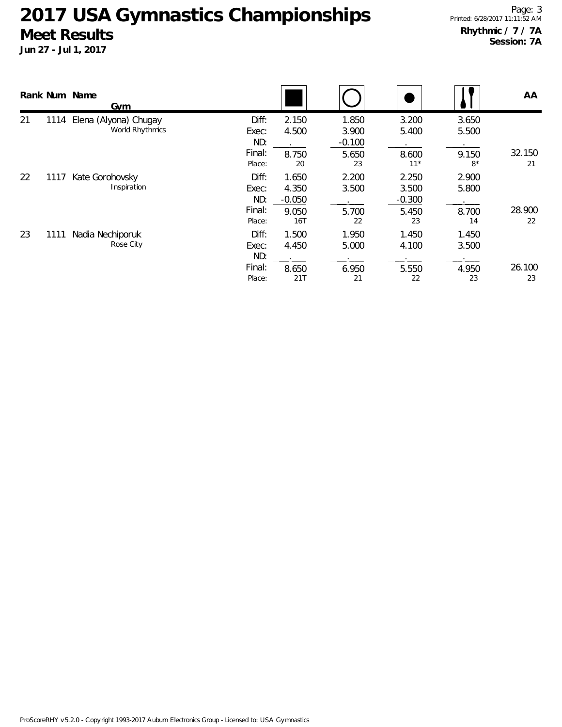|    |      | Rank Num Name<br>Gym                                                       |                       |                            |                            |                            |                | AA |
|----|------|----------------------------------------------------------------------------|-----------------------|----------------------------|----------------------------|----------------------------|----------------|----|
| 21 | 1114 | Elena (Alyona) Chugay<br>World Rhythmics                                   | Diff:<br>Exec:<br>ND: | 2.150<br>4.500             | 1.850<br>3.900<br>$-0.100$ | 3.200<br>5.400             | 3.650<br>5.500 |    |
|    |      | Final:<br>Place:                                                           | 8.750<br>20           | 5.650<br>23                | 8.600<br>$11*$             | 9.150<br>$8*$              | 32.150<br>21   |    |
| 22 | 1117 | Kate Gorohovsky<br>Inspiration                                             | Diff:<br>Exec:<br>ND: | 1.650<br>4.350<br>$-0.050$ | 2.200<br>3.500             | 2.250<br>3.500<br>$-0.300$ | 2.900<br>5.800 |    |
|    |      | Final:<br>Place:                                                           | 9.050<br>16T          | 5.700<br>22                | 5.450<br>23                | 8.700<br>14                | 28.900<br>22   |    |
| 23 | 1111 | Diff:<br>Nadia Nechiporuk<br>Rose City<br>Exec:<br>ND:<br>Final:<br>Place: | 1.500<br>4.450        | 1.950<br>5.000             | 1.450<br>4.100             | 1.450<br>3.500             |                |    |
|    |      |                                                                            | 8.650<br>21T          | 6.950<br>21                | 5.550<br>22                | 4.950<br>23                | 26.100<br>23   |    |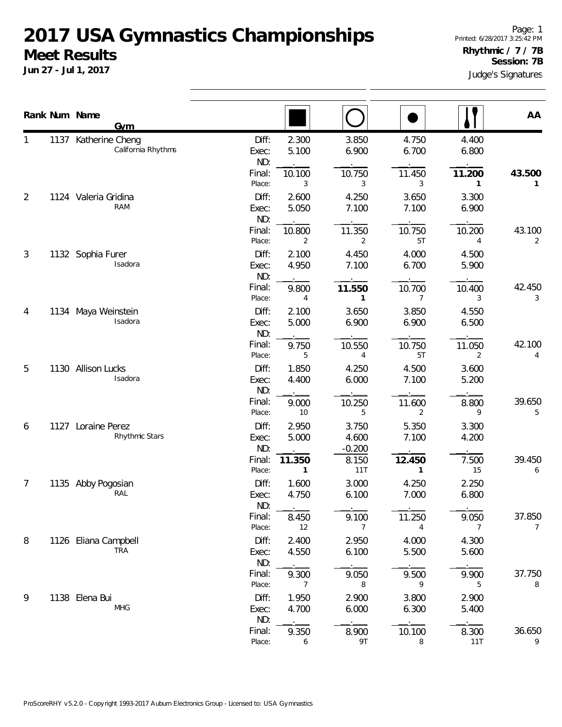**Jun 27 - Jul 1, 2017**

Judge's Signatures Page: 1 Printed: 6/28/2017 3:25:42 PM **Rhythmic / 7 / 7B Session: 7B**

|                |      | Rank Num Name<br><b>Gym</b>                |                         |                        |                            |                |                | AA          |
|----------------|------|--------------------------------------------|-------------------------|------------------------|----------------------------|----------------|----------------|-------------|
|                |      | 1137 Katherine Cheng<br>California Rhythms | Diff:<br>Exec:<br>ND:   | 2.300<br>5.100         | 3.850<br>6.900             | 4.750<br>6.700 | 4.400<br>6.800 |             |
|                |      |                                            | Final:<br>Place:        | 10.100<br>3            | 10.750<br>3                | 11.450<br>3    | 11.200<br>1    | 43.500<br>1 |
| $\overline{2}$ |      | 1124 Valeria Gridina<br>RAM                | Diff:<br>Exec:<br>ND:   | 2.600<br>5.050         | 4.250<br>7.100             | 3.650<br>7.100 | 3.300<br>6.900 |             |
|                |      |                                            | Final:<br>Place:        | 10.800<br>2            | 11.350<br>2                | 10.750<br>5T   | 10.200<br>4    | 43.100<br>2 |
| 3              |      | 1132 Sophia Furer<br>Isadora               | Diff:<br>Exec:<br>ND:   | 2.100<br>4.950         | 4.450<br>7.100             | 4.000<br>6.700 | 4.500<br>5.900 |             |
|                |      |                                            | Final:<br>Place:        | 9.800<br>4             | 11.550<br>1                | 10.700<br>7    | 10.400<br>3    | 42.450<br>3 |
| 4              |      | 1134 Maya Weinstein<br>Isadora             | Diff:<br>Exec:<br>ND:   | 2.100<br>5.000         | 3.650<br>6.900             | 3.850<br>6.900 | 4.550<br>6.500 |             |
|                |      |                                            | Final:<br>Place:        | 9.750<br>5             | 10.550<br>4                | 10.750<br>5T   | 11.050<br>2    | 42.100<br>4 |
| 5              |      | 1130 Allison Lucks<br>Isadora              | Diff:<br>Exec:<br>ND:   | 1.850<br>4.400         | 4.250<br>6.000             | 4.500<br>7.100 | 3.600<br>5.200 |             |
|                |      |                                            | Final:<br>Place:        | 9.000<br>10            | 10.250<br>5                | 11.600<br>2    | 8.800<br>9     | 39.650<br>5 |
| 6              | 1127 | Loraine Perez<br>Rhythmic Stars            | Diff:<br>Exec:<br>ND:   | 2.950<br>5.000         | 3.750<br>4.600<br>$-0.200$ | 5.350<br>7.100 | 3.300<br>4.200 |             |
|                |      |                                            | Final:<br>Place:        | 11.350<br>$\mathbf{1}$ | 8.150<br>11T               | 12.450<br>1    | 7.500<br>15    | 39.450<br>6 |
| 7              |      | 1135 Abby Pogosian<br>RAL                  | Diff:<br>Exec:<br>ND:   | 1.600<br>4.750         | 3.000<br>6.100             | 4.250<br>7.000 | 2.250<br>6.800 |             |
|                |      |                                            | Final:<br>Place:        | $\sim$<br>8.450<br>12  | 9.100<br>$\overline{7}$    | 11.250<br>4    | 9.050<br>7     | 37.850<br>7 |
| 8              |      | 1126 Eliana Campbell<br><b>TRA</b>         | Diff:<br>Exec:<br>ND:   | 2.400<br>4.550         | 2.950<br>6.100             | 4.000<br>5.500 | 4.300<br>5.600 |             |
|                |      |                                            | Final:<br>Place:        | 9.300<br>7             | 9.050<br>8                 | 9.500<br>9     | 9.900<br>5     | 37.750<br>8 |
| 9              |      | 1138 Elena Bui<br><b>MHG</b>               | Diff:<br>Exec:          | 1.950<br>4.700         | 2.900<br>6.000             | 3.800<br>6.300 | 2.900<br>5.400 |             |
|                |      |                                            | ND:<br>Final:<br>Place: | 9.350<br>6             | 8.900<br>9T                | 10.100<br>8    | 8.300<br>11T   | 36.650<br>9 |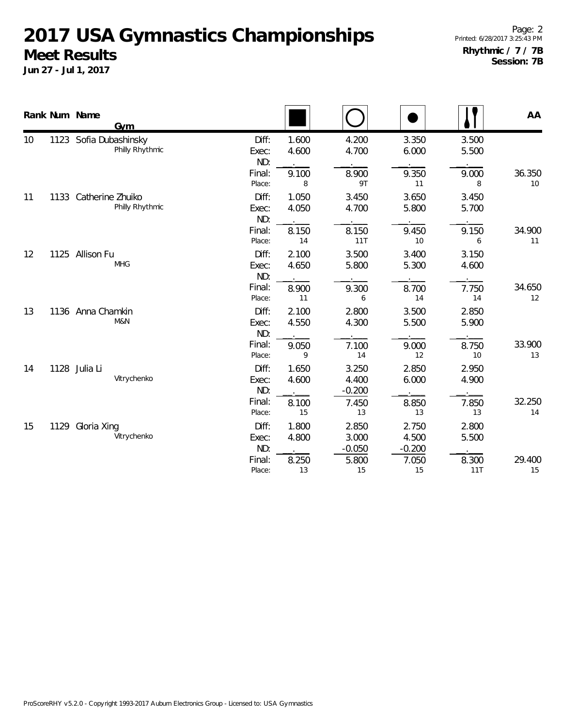|    |      | Rank Num Name<br>Gym                      |                       |                |                            |                            |                | AA           |
|----|------|-------------------------------------------|-----------------------|----------------|----------------------------|----------------------------|----------------|--------------|
| 10 |      | 1123 Sofia Dubashinsky<br>Philly Rhythmic | Diff:<br>Exec:<br>ND: | 1.600<br>4.600 | 4.200<br>4.700             | 3.350<br>6.000             | 3.500<br>5.500 |              |
|    |      |                                           | Final:<br>Place:      | 9.100<br>8     | 8.900<br>9T                | 9.350<br>11                | 9.000<br>8     | 36.350<br>10 |
| 11 | 1133 | Catherine Zhuiko<br>Philly Rhythmic       | Diff:<br>Exec:<br>ND: | 1.050<br>4.050 | 3.450<br>4.700             | 3.650<br>5.800             | 3.450<br>5.700 |              |
|    |      |                                           | Final:<br>Place:      | 8.150<br>14    | 8.150<br>11T               | 9.450<br>10                | 9.150<br>6     | 34.900<br>11 |
| 12 | 1125 | Allison Fu<br><b>MHG</b>                  | Diff:<br>Exec:<br>ND: | 2.100<br>4.650 | 3.500<br>5.800             | 3.400<br>5.300             | 3.150<br>4.600 |              |
|    |      |                                           | Final:<br>Place:      | 8.900<br>11    | 9.300<br>6                 | 8.700<br>14                | 7.750<br>14    | 34.650<br>12 |
| 13 |      | 1136 Anna Chamkin<br>M&N                  | Diff:<br>Exec:<br>ND: | 2.100<br>4.550 | 2.800<br>4.300             | 3.500<br>5.500             | 2.850<br>5.900 |              |
|    |      |                                           | Final:<br>Place:      | 9.050<br>9     | 7.100<br>14                | 9.000<br>12                | 8.750<br>10    | 33.900<br>13 |
| 14 |      | 1128 Julia Li<br>Vitrychenko              | Diff:<br>Exec:<br>ND: | 1.650<br>4.600 | 3.250<br>4.400<br>$-0.200$ | 2.850<br>6.000             | 2.950<br>4.900 |              |
|    |      |                                           | Final:<br>Place:      | 8.100<br>15    | 7.450<br>13                | 8.850<br>13                | 7.850<br>13    | 32.250<br>14 |
| 15 | 1129 | Gloria Xing<br>Vitrychenko                | Diff:<br>Exec:<br>ND: | 1.800<br>4.800 | 2.850<br>3.000<br>$-0.050$ | 2.750<br>4.500<br>$-0.200$ | 2.800<br>5.500 |              |
|    |      |                                           | Final:<br>Place:      | 8.250<br>13    | 5.800<br>15                | 7.050<br>15                | 8.300<br>11T   | 29.400<br>15 |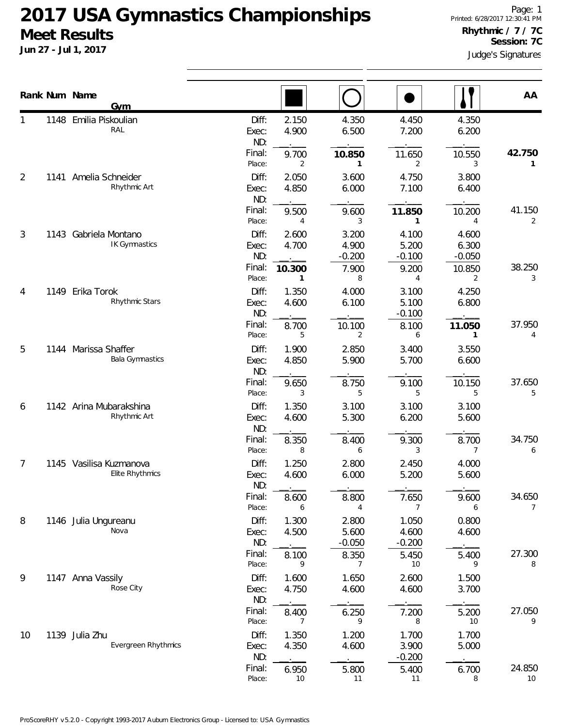|    |      | Rank Num Name<br>Gym                              |                         |                |                            |                            |                            | AA           |
|----|------|---------------------------------------------------|-------------------------|----------------|----------------------------|----------------------------|----------------------------|--------------|
|    | 1148 | Emilia Piskoulian<br>RAL                          | Diff:<br>Exec:<br>ND:   | 2.150<br>4.900 | 4.350<br>6.500             | 4.450<br>7.200             | 4.350<br>6.200             |              |
|    |      |                                                   | Final:<br>Place:        | 9.700<br>2     | 10.850<br>1                | 11.650<br>2                | 10.550<br>3                | 42.750<br>1  |
| 2  |      | 1141 Amelia Schneider<br>Rhythmic Art             | Diff:<br>Exec:          | 2.050<br>4.850 | 3.600<br>6.000             | 4.750<br>7.100             | 3.800<br>6.400             |              |
|    |      |                                                   | ND:<br>Final:<br>Place: | 9.500<br>4     | 9.600<br>3                 | 11.850<br>1                | 10.200<br>4                | 41.150<br>2  |
| 3  | 1143 | Gabriela Montano<br><b>IK Gymnastics</b>          | Diff:<br>Exec:<br>ND:   | 2.600<br>4.700 | 3.200<br>4.900<br>$-0.200$ | 4.100<br>5.200<br>$-0.100$ | 4.600<br>6.300<br>$-0.050$ |              |
|    |      |                                                   | Final:<br>Place:        | 10.300<br>1    | 7.900<br>8                 | 9.200<br>4                 | 10.850<br>2                | 38.250<br>3  |
| 4  | 1149 | Erika Torok<br>Rhythmic Stars                     | Diff:<br>Exec:<br>ND:   | 1.350<br>4.600 | 4.000<br>6.100             | 3.100<br>5.100<br>$-0.100$ | 4.250<br>6.800             |              |
|    |      |                                                   | Final:<br>Place:        | 8.700<br>5     | 10.100<br>2                | 8.100<br>6                 | 11.050<br>1                | 37.950<br>4  |
| 5  |      | 1144 Marissa Shaffer<br><b>Bala Gymnastics</b>    | Diff:<br>Exec:<br>ND:   | 1.900<br>4.850 | 2.850<br>5.900             | 3.400<br>5.700             | 3.550<br>6.600             |              |
|    |      |                                                   | Final:<br>Place:        | 9.650<br>3     | 8.750<br>5                 | 9.100<br>5                 | 10.150<br>5                | 37.650<br>5  |
| 6  |      | 1142 Arina Mubarakshina<br>Rhythmic Art           | Diff:<br>Exec:<br>ND:   | 1.350<br>4.600 | 3.100<br>5.300             | 3.100<br>6.200             | 3.100<br>5.600             |              |
|    |      |                                                   | Final:<br>Place:        | 8.350<br>8     | 8.400<br>6                 | 9.300<br>3                 | 8.700<br>7                 | 34.750<br>6  |
| 7  |      | 1145 Vasilisa Kuzmanova<br><b>Elite Rhythmics</b> | Diff:<br>Exec:<br>ND:   | 1.250<br>4.600 | 2.800<br>6.000             | 2.450<br>5.200             | 4.000<br>5.600             |              |
|    |      |                                                   | Final:<br>Place:        | 8.600<br>6     | 8.800<br>$\overline{4}$    | 7.650<br>7                 | 9.600<br>6                 | 34.650<br>7  |
| 8  |      | 1146 Julia Ungureanu<br>Nova                      | Diff:<br>Exec:<br>ND:   | 1.300<br>4.500 | 2.800<br>5.600<br>$-0.050$ | 1.050<br>4.600<br>$-0.200$ | 0.800<br>4.600             |              |
|    |      |                                                   | Final:<br>Place:        | 8.100<br>9     | 8.350<br>7                 | 5.450<br>10                | 5.400<br>9                 | 27.300<br>8  |
| 9  |      | 1147 Anna Vassily<br>Rose City                    | Diff:<br>Exec:<br>ND:   | 1.600<br>4.750 | 1.650<br>4.600             | 2.600<br>4.600             | 1.500<br>3.700             |              |
|    |      |                                                   | Final:<br>Place:        | 8.400<br>7     | 6.250<br>9                 | 7.200<br>8                 | 5.200<br>10                | 27.050<br>9  |
| 10 |      | 1139 Julia Zhu<br>Evergreen Rhythmics             | Diff:<br>Exec:<br>ND:   | 1.350<br>4.350 | 1.200<br>4.600             | 1.700<br>3.900<br>$-0.200$ | 1.700<br>5.000             |              |
|    |      |                                                   | Final:<br>Place:        | 6.950<br>10    | 5.800<br>11                | 5.400<br>11                | 6.700<br>8                 | 24.850<br>10 |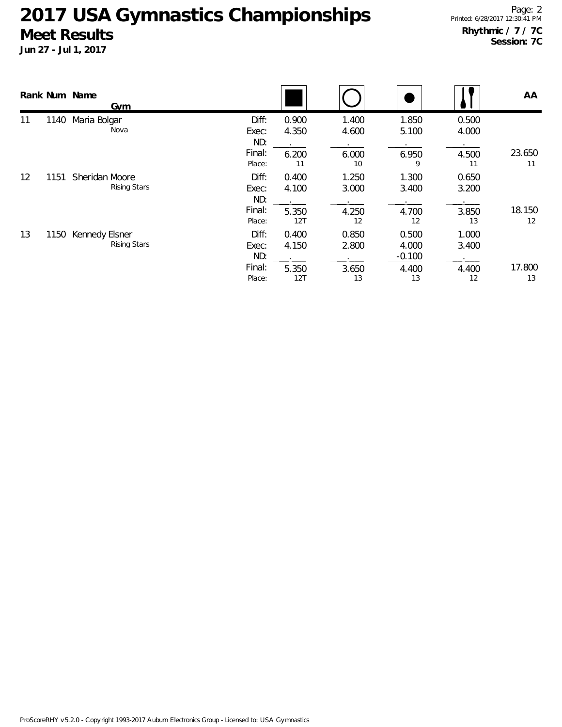|    |      | Rank Num Name<br>Gym                  |                                           |                                |                               |                                           |                               | AA           |
|----|------|---------------------------------------|-------------------------------------------|--------------------------------|-------------------------------|-------------------------------------------|-------------------------------|--------------|
| 11 | 1140 | Maria Bolgar<br>Nova                  | Diff:<br>Exec:<br>ND:<br>Final:<br>Place: | 0.900<br>4.350<br>6.200<br>11  | 1.400<br>4.600<br>6.000<br>10 | 1.850<br>5.100<br>6.950<br>9              | 0.500<br>4.000<br>4.500<br>11 | 23.650<br>11 |
| 12 | 1151 | Sheridan Moore<br><b>Rising Stars</b> | Diff:<br>Exec:<br>ND:<br>Final:<br>Place: | 0.400<br>4.100<br>5.350<br>12T | 1.250<br>3.000<br>4.250<br>12 | 1.300<br>3.400<br>4.700<br>12             | 0.650<br>3.200<br>3.850<br>13 | 18.150<br>12 |
| 13 | 1150 | Kennedy Elsner<br><b>Rising Stars</b> | Diff:<br>Exec:<br>ND:<br>Final:<br>Place: | 0.400<br>4.150<br>5.350<br>12T | 0.850<br>2.800<br>3.650<br>13 | 0.500<br>4.000<br>$-0.100$<br>4.400<br>13 | 1.000<br>3.400<br>4.400<br>12 | 17.800<br>13 |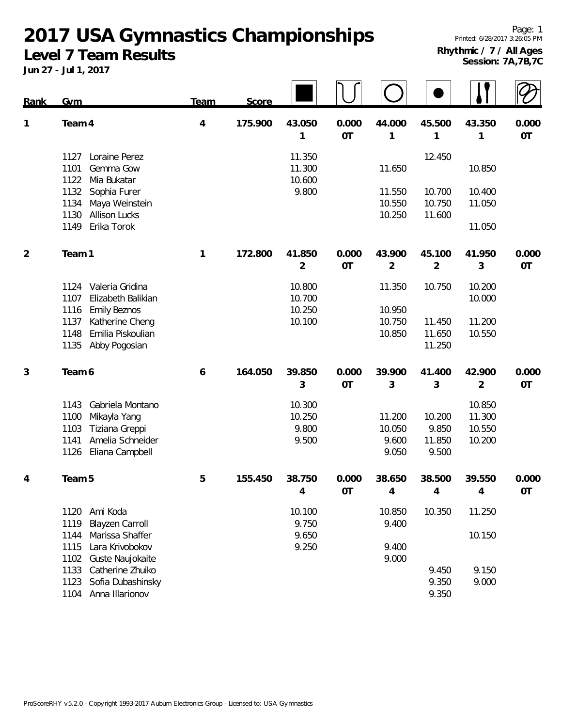## **2017 USA Gymnastics Championships**

**Level 7 Team Results**

| <b>Rank</b>    | Gym                                                                                                                               | Team           | Score   |                                    |                    |                                    |                                    |                                      |                    |
|----------------|-----------------------------------------------------------------------------------------------------------------------------------|----------------|---------|------------------------------------|--------------------|------------------------------------|------------------------------------|--------------------------------------|--------------------|
| 1              | Team 4                                                                                                                            | $\overline{4}$ | 175.900 | 43.050<br>1                        | 0.000<br><b>OT</b> | 44.000<br>1                        | 45.500<br>1                        | 43.350<br>1                          | 0.000<br>OT        |
|                | Loraine Perez<br>1127<br>1101<br>Gemma Gow<br>1122<br>Mia Bukatar                                                                 |                |         | 11.350<br>11.300<br>10.600         |                    | 11.650                             | 12.450                             | 10.850                               |                    |
|                | Sophia Furer<br>1132<br>Maya Weinstein<br>1134<br><b>Allison Lucks</b><br>1130                                                    |                |         | 9.800                              |                    | 11.550<br>10.550<br>10.250         | 10.700<br>10.750<br>11.600         | 10.400<br>11.050                     |                    |
|                | Erika Torok<br>1149                                                                                                               |                |         |                                    |                    |                                    |                                    | 11.050                               |                    |
| $\overline{2}$ | Team 1                                                                                                                            | 1              | 172.800 | 41.850<br>$\overline{2}$           | 0.000<br><b>OT</b> | 43.900<br>$\overline{2}$           | 45.100<br>$\overline{2}$           | 41.950<br>3                          | 0.000<br>OT        |
|                | Valeria Gridina<br>1124<br>1107<br>Elizabeth Balikian<br>1116<br><b>Emily Beznos</b>                                              |                |         | 10.800<br>10.700<br>10.250         |                    | 11.350<br>10.950                   | 10.750                             | 10.200<br>10.000                     |                    |
|                | Katherine Cheng<br>1137<br>Emilia Piskoulian<br>1148<br>Abby Pogosian<br>1135                                                     |                |         | 10.100                             |                    | 10.750<br>10.850                   | 11.450<br>11.650<br>11.250         | 11.200<br>10.550                     |                    |
| 3              | Team 6                                                                                                                            | 6              | 164.050 | 39.850<br>3                        | 0.000<br><b>OT</b> | 39.900<br>3                        | 41.400<br>3                        | 42.900<br>$\overline{2}$             | 0.000<br>OT        |
|                | Gabriela Montano<br>1143<br>Mikayla Yang<br>1100<br>1103<br>Tiziana Greppi<br>Amelia Schneider<br>1141<br>Eliana Campbell<br>1126 |                |         | 10.300<br>10.250<br>9.800<br>9.500 |                    | 11.200<br>10.050<br>9.600<br>9.050 | 10.200<br>9.850<br>11.850<br>9.500 | 10.850<br>11.300<br>10.550<br>10.200 |                    |
| 4              | Team <sub>5</sub>                                                                                                                 | 5              | 155.450 | 38.750<br>4                        | 0.000<br>OT        | 38.650<br>4                        | 38.500<br>4                        | 39.550<br>$\overline{4}$             | 0.000<br><b>OT</b> |
|                | Ami Koda<br>1120<br>1119<br><b>Blayzen Carroll</b>                                                                                |                |         | 10.100<br>9.750                    |                    | 10.850<br>9.400                    | 10.350                             | 11.250                               |                    |
|                | Marissa Shaffer<br>1144<br>Lara Krivobokov<br>1115<br>Guste Naujokaite<br>1102                                                    |                |         | 9.650<br>9.250                     |                    | 9.400<br>9.000                     |                                    | 10.150                               |                    |
|                | Catherine Zhuiko<br>1133<br>1123<br>Sofia Dubashinsky<br>1104 Anna Illarionov                                                     |                |         |                                    |                    |                                    | 9.450<br>9.350<br>9.350            | 9.150<br>9.000                       |                    |